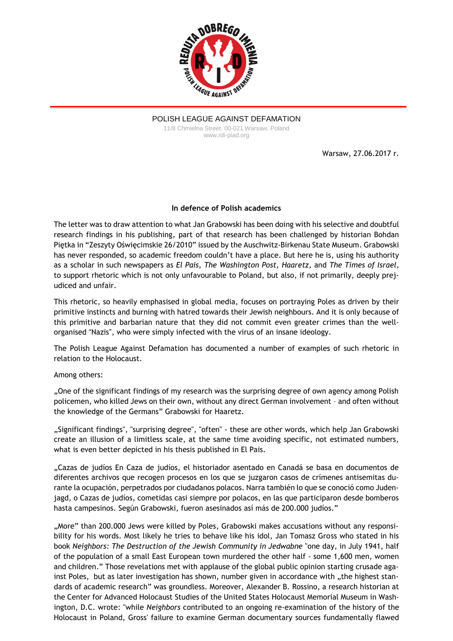

POLISH LEAGUE AGAINST DEFAMATION 11/8 Chmielna Street, 00-021 Warsaw, Poland www.rdi-plad.org

Warsaw, 27.06.2017 r.

## **In defence of Polish academics**

The letter was to draw attention to what Jan Grabowski has been doing with his selective and doubtful research findings in his publishing, part of that research has been challenged by historian Bohdan Piętka in "Zeszyty Oświęcimskie 26/2010" issued by the Auschwitz-Birkenau State Museum. Grabowski has never responded, so academic freedom couldn't have a place. But here he is, using his authority as a scholar in such newspapers as *El Pais, The Washington Post, Haaretz,* and *The Times of Israel,* to support rhetoric which is not only unfavourable to Poland, but also, if not primarily, deeply prejudiced and unfair.

This rhetoric, so heavily emphasised in global media, focuses on portraying Poles as driven by their primitive instincts and burning with hatred towards their Jewish neighbours. And it is only because of this primitive and barbarian nature that they did not commit even greater crimes than the wellorganised "Nazis", who were simply infected with the virus of an insane ideology.

The Polish League Against Defamation has documented a number of examples of such rhetoric in relation to the Holocaust.

## Among others:

"One of the significant findings of my research was the surprising degree of own agency among Polish policemen, who killed Jews on their own, without any direct German involvement – and often without the knowledge of the Germans" Grabowski for Haaretz.

"Significant findings", "surprising degree", "often" - these are other words, which help Jan Grabowski create an illusion of a limitless scale, at the same time avoiding specific, not estimated numbers, what is even better depicted in his thesis published in El Pais.

"Cazas de judíos En Caza de judíos, el historiador asentado en Canadá se basa en documentos de diferentes archivos que recogen procesos en los que se juzgaron casos de crímenes antisemitas durante la ocupación, perpetrados por ciudadanos polacos. Narra también lo que se conoció como Judenjagd, o Cazas de judíos, cometidas casi siempre por polacos, en las que participaron desde bomberos hasta campesinos. Según Grabowski, fueron asesinados así más de 200.000 judíos."

"More" than 200.000 Jews were killed by Poles, Grabowski makes accusations without any responsibility for his words. Most likely he tries to behave like his idol, Jan Tomasz Gross who stated in his book *Neighbors: The Destruction of the Jewish Community in Jedwabne* "one day, in July 1941, half of the population of a small East European town murdered the other half - some 1,600 men, women and children." Those revelations met with applause of the global public opinion starting crusade against Poles, but as later investigation has shown, number given in accordance with "the highest standards of academic research" was groundless. Moreover, [Alexander](https://en.wikipedia.org/wiki/Alexander_B._Rossino) B. Rossino, a research historian at the Center for Advanced Holocaust Studies of the United States [Holocaust](https://en.wikipedia.org/wiki/United_States_Holocaust_Memorial_Museum) Memorial Museum in [Wash](https://en.wikipedia.org/wiki/Washington,_D.C.)[ington,](https://en.wikipedia.org/wiki/Washington,_D.C.) D.C. wrote: "while *Neighbors* contributed to an ongoing re-examination of the history of the [Holocaust](https://en.wikipedia.org/wiki/Holocaust_in_Poland) in Poland, Gross' failure to examine German documentary sources fundamentally flawed